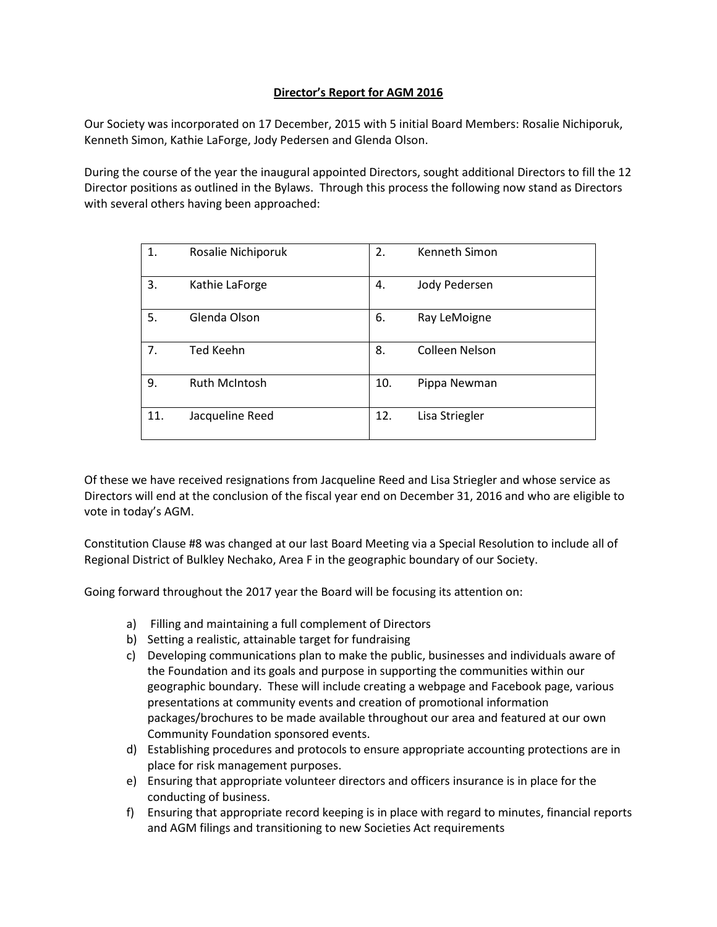## **Director's Report for AGM 2016**

Our Society was incorporated on 17 December, 2015 with 5 initial Board Members: Rosalie Nichiporuk, Kenneth Simon, Kathie LaForge, Jody Pedersen and Glenda Olson.

During the course of the year the inaugural appointed Directors, sought additional Directors to fill the 12 Director positions as outlined in the Bylaws. Through this process the following now stand as Directors with several others having been approached:

| 1.  | Rosalie Nichiporuk   | 2.  | Kenneth Simon         |
|-----|----------------------|-----|-----------------------|
| 3.  | Kathie LaForge       | 4.  | Jody Pedersen         |
| 5.  | Glenda Olson         | 6.  | Ray LeMoigne          |
| 7.  | <b>Ted Keehn</b>     | 8.  | <b>Colleen Nelson</b> |
| 9.  | <b>Ruth McIntosh</b> | 10. | Pippa Newman          |
| 11. | Jacqueline Reed      | 12. | Lisa Striegler        |

Of these we have received resignations from Jacqueline Reed and Lisa Striegler and whose service as Directors will end at the conclusion of the fiscal year end on December 31, 2016 and who are eligible to vote in today's AGM.

Constitution Clause #8 was changed at our last Board Meeting via a Special Resolution to include all of Regional District of Bulkley Nechako, Area F in the geographic boundary of our Society.

Going forward throughout the 2017 year the Board will be focusing its attention on:

- a) Filling and maintaining a full complement of Directors
- b) Setting a realistic, attainable target for fundraising
- c) Developing communications plan to make the public, businesses and individuals aware of the Foundation and its goals and purpose in supporting the communities within our geographic boundary. These will include creating a webpage and Facebook page, various presentations at community events and creation of promotional information packages/brochures to be made available throughout our area and featured at our own Community Foundation sponsored events.
- d) Establishing procedures and protocols to ensure appropriate accounting protections are in place for risk management purposes.
- e) Ensuring that appropriate volunteer directors and officers insurance is in place for the conducting of business.
- f) Ensuring that appropriate record keeping is in place with regard to minutes, financial reports and AGM filings and transitioning to new Societies Act requirements